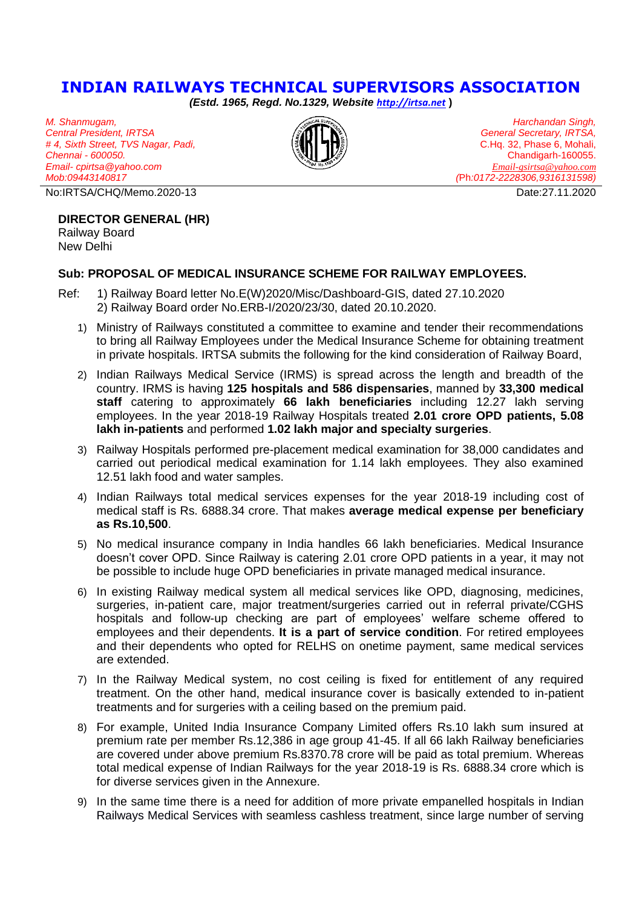## **INDIAN RAILWAYS TECHNICAL SUPERVISORS ASSOCIATION**

*(Estd. 1965, Regd. No.1329, Website [http://irtsa.net](http://irtsa.net/)* **)**

*M. Shanmugam, Central President, IRTSA # 4, Sixth Street, TVS Nagar, Padi, Chennai - 600050. Email- cpirtsa@yahoo.com Mob:09443140817*

No:IRTSA/CHQ/Memo.2020-13 Date:27.11.2020

## **DIRECTOR GENERAL (HR)**

Railway Board New Delhi

## **Sub: PROPOSAL OF MEDICAL INSURANCE SCHEME FOR RAILWAY EMPLOYEES.**

- Ref: 1) Railway Board letter No.E(W)2020/Misc/Dashboard-GIS, dated 27.10.2020 2) Railway Board order No.ERB-I/2020/23/30, dated 20.10.2020.
	- 1) Ministry of Railways constituted a committee to examine and tender their recommendations to bring all Railway Employees under the Medical Insurance Scheme for obtaining treatment in private hospitals. IRTSA submits the following for the kind consideration of Railway Board,
	- 2) Indian Railways Medical Service (IRMS) is spread across the length and breadth of the country. IRMS is having **125 hospitals and 586 dispensaries**, manned by **33,300 medical staff** catering to approximately **66 lakh beneficiaries** including 12.27 lakh serving employees. In the year 2018-19 Railway Hospitals treated **2.01 crore OPD patients, 5.08 lakh in-patients** and performed **1.02 lakh major and specialty surgeries**.
	- 3) Railway Hospitals performed pre-placement medical examination for 38,000 candidates and carried out periodical medical examination for 1.14 lakh employees. They also examined 12.51 lakh food and water samples.
	- 4) Indian Railways total medical services expenses for the year 2018-19 including cost of medical staff is Rs. 6888.34 crore. That makes **average medical expense per beneficiary as Rs.10,500**.
	- 5) No medical insurance company in India handles 66 lakh beneficiaries. Medical Insurance doesn't cover OPD. Since Railway is catering 2.01 crore OPD patients in a year, it may not be possible to include huge OPD beneficiaries in private managed medical insurance.
	- 6) In existing Railway medical system all medical services like OPD, diagnosing, medicines, surgeries, in-patient care, major treatment/surgeries carried out in referral private/CGHS hospitals and follow-up checking are part of employees' welfare scheme offered to employees and their dependents. **It is a part of service condition**. For retired employees and their dependents who opted for RELHS on onetime payment, same medical services are extended.
	- 7) In the Railway Medical system, no cost ceiling is fixed for entitlement of any required treatment. On the other hand, medical insurance cover is basically extended to in-patient treatments and for surgeries with a ceiling based on the premium paid.
	- 8) For example, United India Insurance Company Limited offers Rs.10 lakh sum insured at premium rate per member Rs.12,386 in age group 41-45. If all 66 lakh Railway beneficiaries are covered under above premium Rs.8370.78 crore will be paid as total premium. Whereas total medical expense of Indian Railways for the year 2018-19 is Rs. 6888.34 crore which is for diverse services given in the Annexure.
	- 9) In the same time there is a need for addition of more private empanelled hospitals in Indian Railways Medical Services with seamless cashless treatment, since large number of serving



*Harchandan Singh, General Secretary, IRTSA,* C.Hq. 32, Phase 6, Mohali, Chandigarh-160055. *[Email-gsirtsa@yahoo.com](mailto:Email-gsirtsa@yahoo.com) (*Ph*:0172-2228306,9316131598)*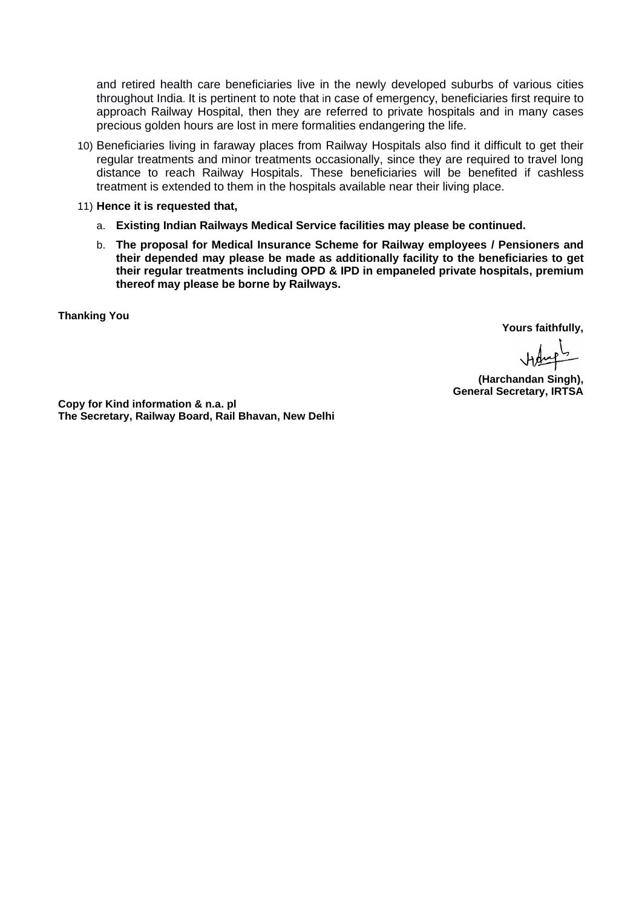and retired health care beneficiaries live in the newly developed suburbs of various cities throughout India. It is pertinent to note that in case of emergency, beneficiaries first require to approach Railway Hospital, then they are referred to private hospitals and in many cases precious golden hours are lost in mere formalities endangering the life.

- 10) Beneficiaries living in faraway places from Railway Hospitals also find it difficult to get their regular treatments and minor treatments occasionally, since they are required to travel long distance to reach Railway Hospitals. These beneficiaries will be benefited if cashless treatment is extended to them in the hospitals available near their living place.
- 11) **Hence it is requested that,** 
	- a. **Existing Indian Railways Medical Service facilities may please be continued.**
	- b. **The proposal for Medical Insurance Scheme for Railway employees / Pensioners and their depended may please be made as additionally facility to the beneficiaries to get their regular treatments including OPD & IPD in empaneled private hospitals, premium thereof may please be borne by Railways.**

**Thanking You**

**Yours faithfully,**

Haugh

**(Harchandan Singh), General Secretary, IRTSA**

**Copy for Kind information & n.a. pl The Secretary, Railway Board, Rail Bhavan, New Delhi**